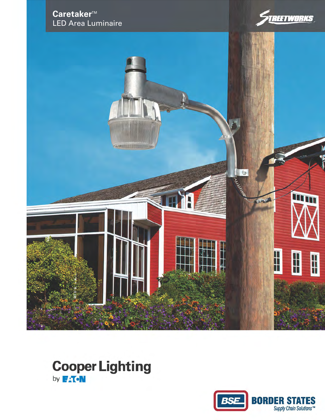





## **Cooper Lighting** by **FAT.N**

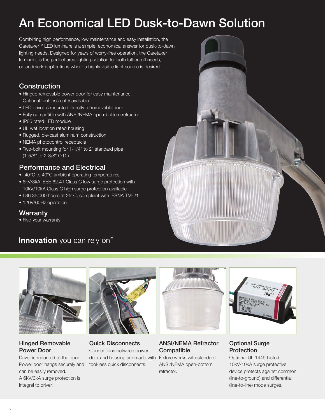# An Economical LED Dusk-to-Dawn Solution

Combining high performance, low maintenance and easy installation, the CaretakerTM LED luminaire is a simple, economical answer for dusk-to-dawn lighting needs. Designed for years of worry-free operation, the Caretaker luminaire is the perfect area lighting solution for both full-cutoff needs, or landmark applications where a highly visible light source is desired.

## **Construction**

- Hinged removable power door for easy maintenance. Optional tool-less entry available
- LED driver is mounted directly to removable door
- Fully compatible with ANSI/NEMA open-bottom refractor
- IP66 rated LED module
- UL wet location rated housing
- Rugged, die-cast aluminum construction
- NEMA photocontrol receptacle
- Two-bolt mounting for 1-1/4" to 2" standard pipe (1-5/8" to 2-3/8" O.D.)

## Performance and Electrical

- -40°C to 40°C ambient operating temperatures
- 6kV/3kA IEEE 62.41 Class C low surge protection with 10kV/10kA Class C high surge protection available
- L86 36,000 hours at 25°C, compliant with IESNA TM-21
- 120V/60Hz operation

### Warranty

• Five-year warranty

## Innovation you can rely on<sup>™</sup>





### Hinged Removable Power Door

Driver is mounted to the door. Power door hangs securely and can be easily removed. A 6kV/3kA surge protection is integral to driver.



Quick Disconnects Connections between power door and housing are made with Fixture works with standard tool-less quick disconnects.



#### ANSI/NEMA Refractor **Compatible**

ANSI/NEMA open-bottom refractor.



### Optional Surge **Protection**

Optional UL 1449 Listed 10kV/10kA surge protective device protects against common (line-to-ground) and differential (line-to-line) mode surges.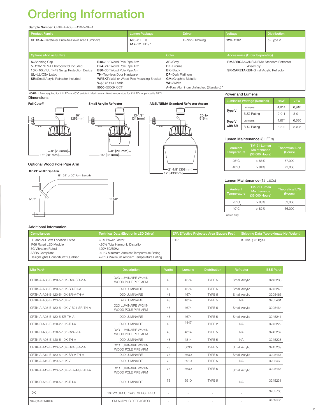# Ordering Information

#### Sample Number: CRTK-A-A08-E-120-5-SR-A

| <b>Product Family</b>                                                                                                                                                              |                                                                                                                                                                                        | <b>Lumen Package</b>                             |                                                                                                     | <b>Driver</b>                                                          | Voltage                                                                                          | <b>Distribution</b> |
|------------------------------------------------------------------------------------------------------------------------------------------------------------------------------------|----------------------------------------------------------------------------------------------------------------------------------------------------------------------------------------|--------------------------------------------------|-----------------------------------------------------------------------------------------------------|------------------------------------------------------------------------|--------------------------------------------------------------------------------------------------|---------------------|
| <b>CRTK-A=Caretaker Dusk-to-Dawn Area Luminaire</b>                                                                                                                                |                                                                                                                                                                                        | $A08 = 8$ LEDs<br>$A12=12$   FDs 1               |                                                                                                     | E=Non-Dimmina                                                          | $120 = 120V$                                                                                     | $5 = TypeV$         |
| <b>Options (Add as Suffix)</b>                                                                                                                                                     |                                                                                                                                                                                        |                                                  | Color                                                                                               |                                                                        | <b>Accessories (Order Separately)</b>                                                            |                     |
| <b>S</b> =Shorting Cap<br>5=120V NEMA Photocontrol Included<br>10K=10kV UL 1449 Surge Protection Device<br><b>UL</b> =UL/CSA Listed<br><b>SR</b> =Small Acrylic Refractor Included | <b>B18</b> =18" Wood Pole Pipe Arm<br><b>B24</b> =24" Wood Pole Pipe Arm<br>B30=30" Wood Pole Pipe Arm<br><b>TH</b> =Tool-less Door Hardware<br>$V=(2) 5'$ #14 Leads<br>5000=5000K CCT | <b>WPBKT</b> =Wall or Wood Pole Mounting Bracket | $AP =$ Grev<br><b>BZ</b> =Bronze<br><b>BK</b> =Black<br><b>DP</b> =Dark Platinum<br><b>WH=White</b> | <b>GM</b> =Graphite Metallic<br>A=Raw Aluminum Unfinished (Standard) 1 | <b>RMARROA5=ANSI/NEMA Standard Refractor</b><br>Assembly<br>SR-CARETAKER=Small Acrylic Refractor |                     |

NOTE: 1 Paint required for 12 LEDs at 40°C ambient. Maximum ambient temperature for 12 LEDs unpainted is 25°C.

### Dimensions



Optional Wood Pole Pipe Arm

**18", 24" or 30" Pipe Arm**

9-1/2" 10-5/8"

18", 24" or 30" Arm Length





#### Power and Lumens

| Luminaire Wattage (Nominal) |                   | 48W         | <b>73W</b>  |  |
|-----------------------------|-------------------|-------------|-------------|--|
| <b>Type V</b>               | Lumens            | 4,814       | 6.910       |  |
|                             | <b>BUG Rating</b> | $2 - 0 - 1$ | $3 - 0 - 1$ |  |
| Type V<br>with SR           | Lumens            | 4.674       | 6,630       |  |
|                             | <b>BUG Rating</b> | $3 - 3 - 2$ | $3 - 3 - 2$ |  |

#### Lumen Maintenance (8 LEDs)

| Ambient<br><b>Temperature</b> | TM-21 Lumen<br><b>Maintenance</b><br>(36,000 Hours) | <b>Theoretical L70</b><br>(Hours) |  |  |
|-------------------------------|-----------------------------------------------------|-----------------------------------|--|--|
| $25^{\circ}$ C                | >86%                                                | 87,000                            |  |  |
| $40^{\circ}$ C                | >84%                                                | 72,000                            |  |  |

#### Lumen Maintenance (12 LEDs)

| Ambient<br><b>Temperature</b> | <b>TM-21 Lumen</b><br><b>Maintenance</b><br>(36,000 Hours) | <b>Theoretical L70</b><br>(Hours) |
|-------------------------------|------------------------------------------------------------|-----------------------------------|
| $25^{\circ}$ C                | >83%                                                       | 69.000                            |
| $40^{\circ}$ C                | >82%                                                       | 66,000                            |
| Painted only.                 |                                                            |                                   |

### Additional Information

| <b>Compliances</b>                                                                                                                           | Technical Data (Electronic LED Driver)                                                                                                                      | <b>EPA Effective Projected Area (Square Feet)</b> | Shipping Data (Approximate Net Weight) |
|----------------------------------------------------------------------------------------------------------------------------------------------|-------------------------------------------------------------------------------------------------------------------------------------------------------------|---------------------------------------------------|----------------------------------------|
| UL and cUL Wet Location Listed<br>IP66 Rated LED Module<br>3G Vibration Rated<br><b>ARRA Compliant</b><br>DesignLights Consortium® Qualified | >0.9 Power Factor<br><20% Total Harmonic Distortion<br>120V 50/60Hz<br>-40°C Minimum Ambient Temperature Rating<br>+25°C Maximum Ambient Temperature Rating | 0.67                                              | 8.0 lbs. (3.6 kgs.)                    |

| Mfg Part#                            | <b>Description</b>                          | <b>Watts</b> | Lumens | <b>Distribution</b> | Refractor     | <b>BSE Part#</b> |
|--------------------------------------|---------------------------------------------|--------------|--------|---------------------|---------------|------------------|
| CRTK-A-A08-F-120-5-10K-B24-SR-V-A    | D2D LUMINAIRE W/24IN<br>WOOD POLE PIPE ARM  | 48           | 4674   | TYPF <sub>5</sub>   | Small Acrylic | 3245238          |
| CRTK-A-A08-E-120-5-10K-SR-TH-A       | <b>D2D LUMINAIRE</b>                        | 48           | 4674   | TYPF <sub>5</sub>   | Small Acrylic | 3245240          |
| CRTK-A-A08-F-120-5-10K-SR-V-TH-A     | D2D I UMINAIRE                              | 48           | 4674   | TYPF <sub>5</sub>   | Small Acrylic | 3205466          |
| CRTK-A-A08-E-120-5-10K-V             | <b>D2D LUMINAIRE</b>                        | 48           | 4814   | TYPF <sub>5</sub>   | <b>NA</b>     | 3205461          |
| CRTK-A-A08-E-120-5-10K-V-B24-SR-TH-A | D2D LUMINAIRE W/24IN<br>WOOD POLE PIPE ARM  | 48           | 4674   | TYPF <sub>5</sub>   | Small Acrylic | 3205464          |
| CRTK-A-A08-E-120-5-SR-TH-A           | <b>D2D LUMINAIRE</b>                        | 48           | 4674   | TYPF <sub>5</sub>   | Small Acrylic | 3245241          |
| CRTK-R-A08-E-120-2-10K-TH-A          | <b>D2D LUMINAIRE</b>                        | 48           | 4447   | TYPE <sub>2</sub>   | <b>NA</b>     | 3245229          |
| CRTK-R-A08-E-120-5-10K-B24-V-A       | D2D LUMINAIRE W/24IN<br>WOOD POLE PIPE ARM  | 48           | 4814   | TYPE 5              | <b>NA</b>     | 3245237          |
| CRTK-R-A08-E-120-5-10K-TH-A          | <b>D2D LUMINAIRE</b>                        | 48           | 4814   | TYPE 5              | <b>NA</b>     | 3245228          |
| CRTK-A-A12-E-120-5-10K-B24-SR-V-A    | D2D I UMINAIRE W/24IN<br>WOOD POLE PIPE ARM | 73           | 6630   | TYPE 5              | Small Acrylic | 3245239          |
| CRTK-A-A12-F-120-5-10K-SR-V-TH-A     | <b>D2D LUMINAIRE</b>                        | 73           | 6630   | TYPF <sub>5</sub>   | Small Acrylic | 3205467          |
| CRTK-A-A12-E-120-5-10K-V             | <b>D2D LUMINAIRE</b>                        | 73           | 6910   | TYPE 5              | <b>NA</b>     | 3205463          |
| CRTK-A-A12-E-120-5-10K-V-B24-SR-TH-A | D2D LUMINAIRE W/24IN<br>WOOD POLE PIPE ARM  | 73           | 6630   | TYPF <sub>5</sub>   | Small Acrylic | 3205465          |
| CRTK-R-A12-E-120-5-10K-TH-A          | <b>D2D LUMINAIRE</b>                        | 73           | 6910   | TYPF <sub>5</sub>   | <b>NA</b>     | 3245231          |
| 10K                                  | 10KV/10KA UL1449 SURGE PRO                  | $\sim$       | $\sim$ |                     |               | 3205705          |
| <b>SR-CARETAKER</b>                  | SM ACRYLIC REFRACTOR                        | $\sim$       | $\sim$ |                     |               | 3139436          |